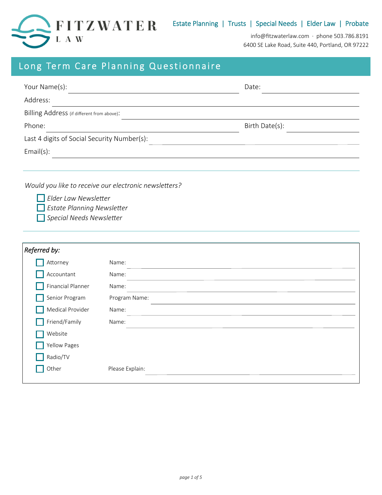

info@fitzwaterlaw.com · phone 503.786.8191 6400 SE Lake Road, Suite 440, Portland, OR 97222

| Long Term Care Planning Questionnaire                                         |               |                |
|-------------------------------------------------------------------------------|---------------|----------------|
| Your Name(s):                                                                 |               | Date:          |
| Address:                                                                      |               |                |
| Billing Address (if different from above):                                    |               |                |
| Phone:                                                                        |               | Birth Date(s): |
| Last 4 digits of Social Security Number(s):                                   |               |                |
| $Email(s)$ :                                                                  |               |                |
|                                                                               |               |                |
| <b>Estate Planning Newsletter</b><br>Special Needs Newsletter<br>Referred by: |               |                |
| Attorney                                                                      | Name:         |                |
| Accountant                                                                    | Name:         |                |
| <b>Financial Planner</b>                                                      | Name:         |                |
| Senior Program                                                                | Program Name: |                |
| Medical Provider                                                              | Name:         |                |
| Friend/Family                                                                 | Name:         |                |
| Website                                                                       |               |                |
| <b>Yellow Pages</b>                                                           |               |                |

Other Please Explain:

Radio/TV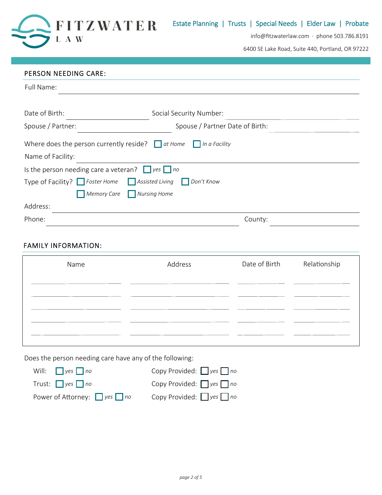

6400 SE Lake Road, Suite 440, Portland, OR 97222

## PERSON NEEDING CARE:

| Full Name:                                                 |                                      |
|------------------------------------------------------------|--------------------------------------|
|                                                            |                                      |
| Date of Birth:                                             | Social Security Number:              |
| Spouse / Partner:                                          | Spouse / Partner Date of Birth:      |
| Where does the person currently reside? $\Box$ at Home     | $\ $ In a Facility                   |
| Name of Facility:                                          |                                      |
| Is the person needing care a veteran? $\Box$ yes $\Box$ no |                                      |
| Type of Facility? $\Box$ Foster Home                       | $\Box$ Assisted Living<br>Don't Know |
| Memory Care Nursing Home                                   |                                      |
| Address:                                                   |                                      |
| Phone:                                                     | County:                              |

# FAMILY INFORMATION:

| Name | Address | Date of Birth | Relationship |
|------|---------|---------------|--------------|
|      |         |               |              |
|      |         |               |              |
|      |         |               |              |
|      |         |               |              |

Does the person needing care have any of the following:

| Will: $\Box$ yes $\Box$ no              | Copy Provided: $\Box$ yes $\Box$ no |
|-----------------------------------------|-------------------------------------|
| Trust: $\Box$ yes $\Box$ no             | Copy Provided: $\Box$ yes $\Box$ no |
| Power of Attorney: $\Box$ yes $\Box$ no | Copy Provided: $\Box$ yes $\Box$ no |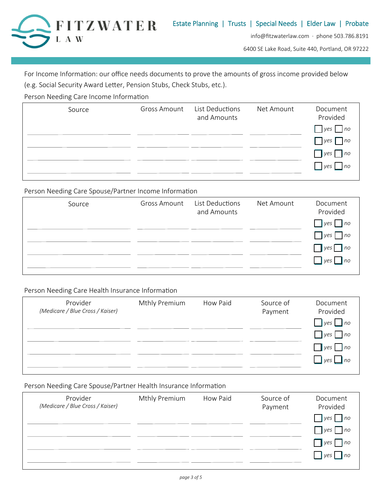

6400 SE Lake Road, Suite 440, Portland, OR 97222

For Income Information: our office needs documents to prove the amounts of gross income provided below (e.g. Social Security Award Letter, Pension Stubs, Check Stubs, etc.).

Person Needing Care Income Information

| Source | <b>Gross Amount</b> | List Deductions<br>and Amounts | Net Amount | Document<br>Provided   |
|--------|---------------------|--------------------------------|------------|------------------------|
|        |                     |                                |            | $\n  yes no\n$         |
|        |                     |                                |            | $\neg$ no<br>yes       |
|        |                     |                                |            | $\Box$ yes $\Box$ no   |
|        |                     |                                |            | no<br>$ $ $ $ $\nu$ es |
|        |                     |                                |            |                        |

Person Needing Care Spouse/Partner Income Information

| Source | <b>Gross Amount</b> | List Deductions<br>and Amounts | Net Amount | Document<br>Provided               |
|--------|---------------------|--------------------------------|------------|------------------------------------|
|        |                     |                                |            | $\n  yes no$                       |
|        |                     |                                |            | yes<br> no                         |
|        |                     |                                |            | $\Box$ yes $\Box$ no               |
|        |                     |                                |            | $\vert \vert$ yes $\vert \vert$ no |
|        |                     |                                |            |                                    |

Person Needing Care Health Insurance Information

| Provider<br>(Medicare / Blue Cross / Kaiser) | Mthly Premium | How Paid | Source of<br>Payment | Document<br>Provided |
|----------------------------------------------|---------------|----------|----------------------|----------------------|
|                                              |               |          |                      | $\Box$ yes $\Box$ no |
|                                              |               |          |                      | $\Box$ yes $\Box$ no |
|                                              |               |          |                      | $\Box$ yes $\Box$ no |
|                                              |               |          |                      | $\Box$ yes $\Box$ no |
|                                              |               |          |                      |                      |

### Person Needing Care Spouse/Partner Health Insurance Information

| Provider<br>(Medicare / Blue Cross / Kaiser) | Mthly Premium | How Paid | Source of<br>Payment | Document<br>Provided       |
|----------------------------------------------|---------------|----------|----------------------|----------------------------|
|                                              |               |          |                      | $ $ yes $ $ no             |
|                                              |               |          |                      | $\blacksquare$ lyes<br> no |
|                                              |               |          |                      | $ $ yes<br> no             |
|                                              |               |          |                      | $ $ yes $ $<br> no         |
|                                              |               |          |                      |                            |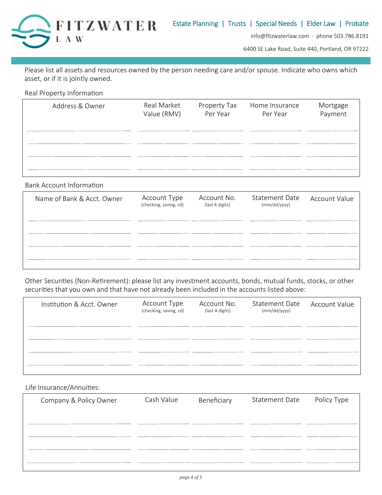

6400 SE Lake Road, Suite 440, Portland, OR 97222

Please list all assets and resources owned by the person needing care and/or spouse. Indicate who owns which asset, or if it is jointly owned.

Real Property Information

| Address & Owner | Real Market<br>Value (RMV) | Property Tax<br>Per Year | Home Insurance<br>Per Year | Mortgage<br>Payment |
|-----------------|----------------------------|--------------------------|----------------------------|---------------------|
|                 |                            |                          |                            |                     |
|                 |                            |                          |                            |                     |
|                 |                            |                          |                            |                     |

Bank Account Information

| Name of Bank & Acct. Owner | Account Type<br>(checking, saving, cd) | Account No.<br>(last 4 digits) | <b>Statement Date</b><br>(mm/dd/yyyy) | <b>Account Value</b> |
|----------------------------|----------------------------------------|--------------------------------|---------------------------------------|----------------------|
|                            |                                        |                                |                                       |                      |
|                            |                                        |                                |                                       |                      |
|                            |                                        |                                |                                       |                      |

Other Securities (Non-Retirement): please list any investment accounts, bonds, mutual funds, stocks, or other securities that you own and that have not already been included in the accounts listed above:

| Institution & Acct. Owner | Account Type<br>(checking, saving, cd) | Account No.<br>(last 4 digits) | <b>Statement Date</b><br>(mm/dd/yyyy) | <b>Account Value</b> |
|---------------------------|----------------------------------------|--------------------------------|---------------------------------------|----------------------|
|                           |                                        |                                |                                       |                      |
|                           |                                        |                                |                                       |                      |
|                           |                                        |                                |                                       |                      |

Life Insurance/Annuities:

| Company & Policy Owner | Cash Value | Beneficiary | <b>Statement Date</b> | Policy Type |
|------------------------|------------|-------------|-----------------------|-------------|
|                        |            |             |                       |             |
|                        |            |             |                       |             |
|                        |            |             |                       |             |
|                        |            |             |                       |             |
|                        |            |             |                       |             |
|                        |            |             |                       |             |